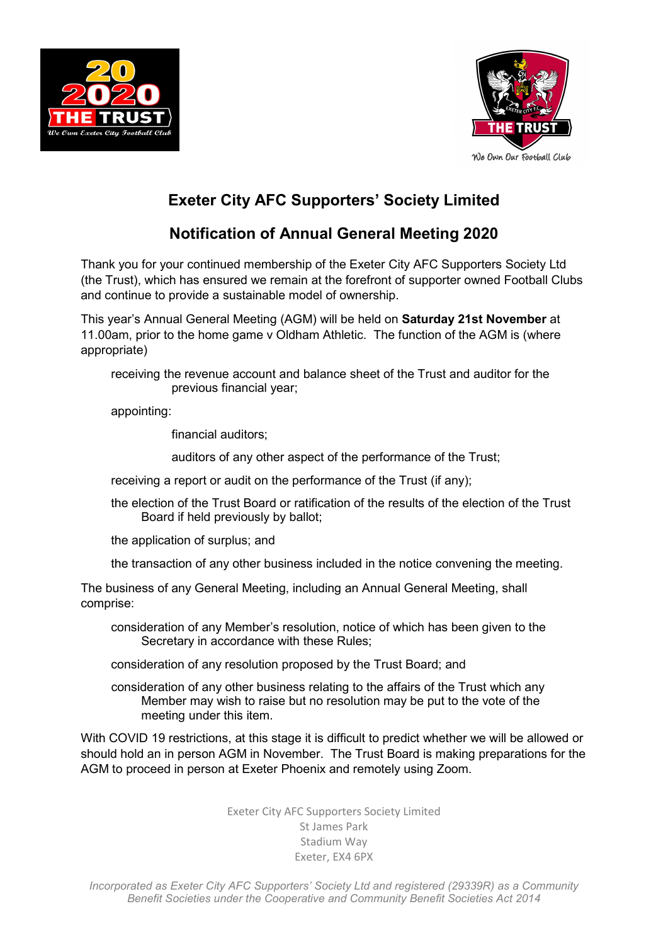



## Exeter City AFC Supporters' Society Limited

## Notification of Annual General Meeting 2020

Thank you for your continued membership of the Exeter City AFC Supporters Society Ltd (the Trust), which has ensured we remain at the forefront of supporter owned Football Clubs and continue to provide a sustainable model of ownership.

This year's Annual General Meeting (AGM) will be held on Saturday 21st November at 11.00am, prior to the home game v Oldham Athletic. The function of the AGM is (where appropriate)

receiving the revenue account and balance sheet of the Trust and auditor for the previous financial year;

appointing:

financial auditors;

auditors of any other aspect of the performance of the Trust;

receiving a report or audit on the performance of the Trust (if any);

the election of the Trust Board or ratification of the results of the election of the Trust Board if held previously by ballot;

the application of surplus; and

the transaction of any other business included in the notice convening the meeting.

The business of any General Meeting, including an Annual General Meeting, shall comprise:

consideration of any Member's resolution, notice of which has been given to the Secretary in accordance with these Rules;

consideration of any resolution proposed by the Trust Board; and

consideration of any other business relating to the affairs of the Trust which any Member may wish to raise but no resolution may be put to the vote of the meeting under this item.

With COVID 19 restrictions, at this stage it is difficult to predict whether we will be allowed or should hold an in person AGM in November. The Trust Board is making preparations for the AGM to proceed in person at Exeter Phoenix and remotely using Zoom.

> Exeter City AFC Supporters Society Limited St James Park Stadium Way Exeter, EX4 6PX

Incorporated as Exeter City AFC Supporters' Society Ltd and registered (29339R) as a Community Benefit Societies under the Cooperative and Community Benefit Societies Act 2014